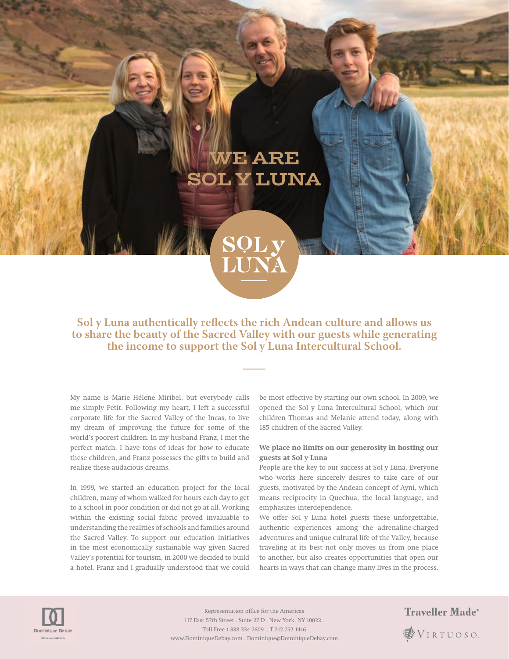# WE ARE SOL Y LUNA



## **Sol y Luna authentically reflects the rich Andean culture and allows us to share the beauty of the Sacred Valley with our guests while generating the income to support the Sol y Luna Intercultural School.**

My name is Marie Hélene Miribel, but everybody calls me simply Petit. Following my heart, I left a successful corporate life for the Sacred Valley of the Incas, to live my dream of improving the future for some of the world's poorest children. In my husband Franz, I met the perfect match. I have tons of ideas for how to educate these children, and Franz possesses the gifts to build and realize these audacious dreams.

In 1999, we started an education project for the local children, many of whom walked for hours each day to get to a school in poor condition or did not go at all. Working within the existing social fabric proved invaluable to understanding the realities of schools and families around the Sacred Valley. To support our education initiatives in the most economically sustainable way given Sacred Valley's potential for tourism, in 2000 we decided to build a hotel. Franz and I gradually understood that we could

be most efective by starting our own school. In 2009, we opened the Sol y Luna Intercultural School, which our children Thomas and Melanie attend today, along with 185 children of the Sacred Valley.

#### **We place no limits on our generosity in hosting our guests at Sol y Luna**

People are the key to our success at Sol y Luna. Everyone who works here sincerely desires to take care of our guests, motivated by the Andean concept of Ayni, which means reciprocity in Quechua, the local language, and emphasizes interdependence.

We offer Sol y Luna hotel guests these unforgettable, authentic experiences among the adrenaline-charged adventures and unique cultural life of the Valley, because traveling at its best not only moves us from one place to another, but also creates opportunities that open our hearts in ways that can change many lives in the process.



Representation office for the Americas 117 East 57th Street . Suite 27 D . New York, NY 10022 . Toll Free 1 888 334 7609 . T 212 752 1416 www.DominiqueDebay.com . Dominique@DominiqueDebay.com

# **Traveller Made**<sup>®</sup> **SVIRTUOSO**